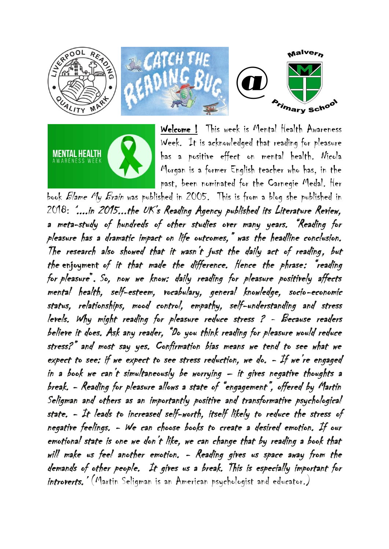



Welcome ! This week is Mental Health Awareness Week. It is acknowledged that reading for pleasure has a positive effect on mental health. Nicola Morgan is a former English teacher who has, in the past, been nominated for the Carnegie Medal. Her

book Blame My Brain was published in 2005. This is from a blog she published in 2018: '....in 2015...the UK's Reading Agency published its Literature Review, a meta-study of hundreds of other studies over many years. "Reading for pleasure has a dramatic impact on life outcomes," was the headline conclusion. The research also showed that it wasn't just the daily act of reading, but the enjoyment of it that made the difference. Hence the phrase: "reading for pleasure". So, now we know: daily reading for pleasure positively affects mental health, self-esteem, vocabulary, general knowledge, socio-economic status, relationships, mood control, empathy, self-understanding and stress levels. Why might reading for pleasure reduce stress ? - Because readers believe it does. Ask any reader, "Do you think reading for pleasure would reduce stress?" and most say yes. Confirmation bias means we tend to see what we expect to see: if we expect to see stress reduction, we do.  $-$  If we're engaged in a book we can't simultaneously be worrying – it gives negative thoughts a break. - Reading for pleasure allows a state of "engagement", offered by Martin Seligman and others as an importantly positive and transformative psychological state. - It leads to increased self-worth, itself likely to reduce the stress of negative feelings. - We can choose books to create a desired emotion. If our emotional state is one we don't like, we can change that by reading a book that will make us feel another emotion. - Reading gives us space away from the demands of other people. It gives us a break. This is especially important for introverts.' (Martin Seligman is an American psychologist and educator.)